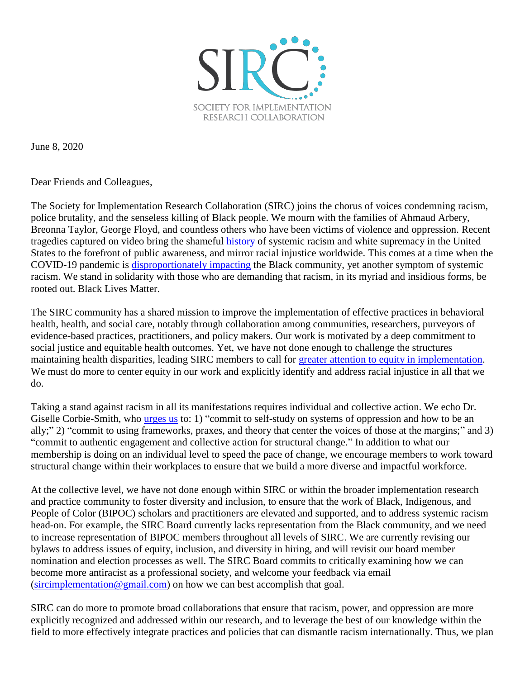

June 8, 2020

Dear Friends and Colleagues,

The Society for Implementation Research Collaboration (SIRC) joins the chorus of voices condemning racism, police brutality, and the senseless killing of Black people. We mourn with the families of Ahmaud Arbery, Breonna Taylor, George Floyd, and countless others who have been victims of violence and oppression. Recent tragedies captured on video bring the shameful [history](https://www.nytimes.com/interactive/2019/08/14/magazine/1619-america-slavery.html) of systemic racism and white supremacy in the United States to the forefront of public awareness, and mirror racial injustice worldwide. This comes at a time when the COVID-19 pandemic is [disproportionately impacting](https://www.cdc.gov/coronavirus/2019-ncov/need-extra-precautions/racial-ethnic-minorities.html) the Black community, yet another symptom of systemic racism. We stand in solidarity with those who are demanding that racism, in its myriad and insidious forms, be rooted out. Black Lives Matter.

The SIRC community has a shared mission to improve the implementation of effective practices in behavioral health, health, and social care, notably through collaboration among communities, researchers, purveyors of evidence-based practices, practitioners, and policy makers. Our work is motivated by a deep commitment to social justice and equitable health outcomes. Yet, we have not done enough to challenge the structures maintaining health disparities, leading SIRC members to call for [greater attention to equity in implementation.](https://bmchealthservres.biomedcentral.com/articles/10.1186/s12913-020-4975-3) We must do more to center equity in our work and explicitly identify and address racial injustice in all that we do.

Taking a stand against racism in all its manifestations requires individual and collective action. We echo Dr. Giselle Corbie-Smith, who [urges us](https://www.med.unc.edu/cher/centering-equity-in-this-moment/) to: 1) "commit to self-study on systems of oppression and how to be an ally;" 2) "commit to using frameworks, praxes, and theory that center the voices of those at the margins;" and 3) "commit to authentic engagement and collective action for structural change." In addition to what our membership is doing on an individual level to speed the pace of change, we encourage members to work toward structural change within their workplaces to ensure that we build a more diverse and impactful workforce.

At the collective level, we have not done enough within SIRC or within the broader implementation research and practice community to foster diversity and inclusion, to ensure that the work of Black, Indigenous, and People of Color (BIPOC) scholars and practitioners are elevated and supported, and to address systemic racism head-on. For example, the SIRC Board currently lacks representation from the Black community, and we need to increase representation of BIPOC members throughout all levels of SIRC. We are currently revising our bylaws to address issues of equity, inclusion, and diversity in hiring, and will revisit our board member nomination and election processes as well. The SIRC Board commits to critically examining how we can become more antiracist as a professional society, and welcome your feedback via email [\(sircimplementation@gmail.com\)](mailto:sircimplementation@gmail.com) on how we can best accomplish that goal.

SIRC can do more to promote broad collaborations that ensure that racism, power, and oppression are more explicitly recognized and addressed within our research, and to leverage the best of our knowledge within the field to more effectively integrate practices and policies that can dismantle racism internationally. Thus, we plan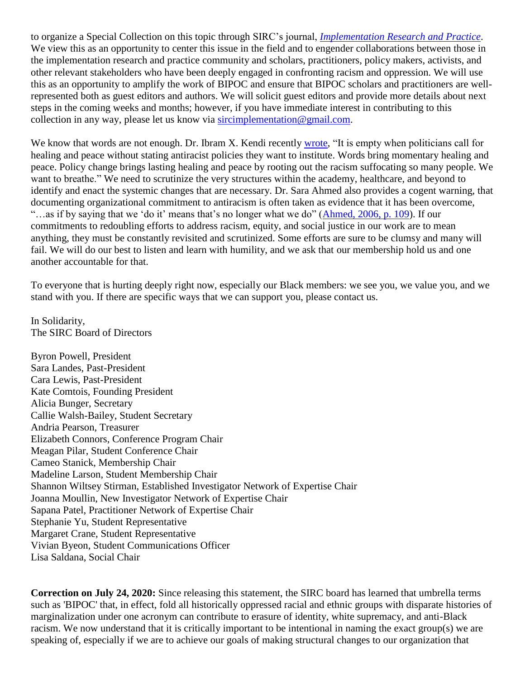to organize a Special Collection on this topic through SIRC's journal, *[Implementation Research and Practice](https://us.sagepub.com/en-us/nam/implementation-research-and-practice/journal203691)*. We view this as an opportunity to center this issue in the field and to engender collaborations between those in the implementation research and practice community and scholars, practitioners, policy makers, activists, and other relevant stakeholders who have been deeply engaged in confronting racism and oppression. We will use this as an opportunity to amplify the work of BIPOC and ensure that BIPOC scholars and practitioners are wellrepresented both as guest editors and authors. We will solicit guest editors and provide more details about next steps in the coming weeks and months; however, if you have immediate interest in contributing to this collection in any way, please let us know via [sircimplementation@gmail.com.](mailto:sircimplementation@gmail.com)

We know that words are not enough. Dr. Ibram X. Kendi recently [wrote,](https://twitter.com/DrIbram/status/1268179266325352448) "It is empty when politicians call for healing and peace without stating antiracist policies they want to institute. Words bring momentary healing and peace. Policy change brings lasting healing and peace by rooting out the racism suffocating so many people. We want to breathe." We need to scrutinize the very structures within the academy, healthcare, and beyond to identify and enact the systemic changes that are necessary. Dr. Sara Ahmed also provides a cogent warning, that documenting organizational commitment to antiracism is often taken as evidence that it has been overcome, "…as if by saying that we 'do it' means that's no longer what we do" [\(Ahmed, 2006, p. 109\)](https://www.jstor.org/stable/40338719?seq=1). If our commitments to redoubling efforts to address racism, equity, and social justice in our work are to mean anything, they must be constantly revisited and scrutinized. Some efforts are sure to be clumsy and many will fail. We will do our best to listen and learn with humility, and we ask that our membership hold us and one another accountable for that.

To everyone that is hurting deeply right now, especially our Black members: we see you, we value you, and we stand with you. If there are specific ways that we can support you, please contact us.

In Solidarity, The SIRC Board of Directors

Byron Powell, President Sara Landes, Past-President Cara Lewis, Past-President Kate Comtois, Founding President Alicia Bunger, Secretary Callie Walsh-Bailey, Student Secretary Andria Pearson, Treasurer Elizabeth Connors, Conference Program Chair Meagan Pilar, Student Conference Chair Cameo Stanick, Membership Chair Madeline Larson, Student Membership Chair Shannon Wiltsey Stirman, Established Investigator Network of Expertise Chair Joanna Moullin, New Investigator Network of Expertise Chair Sapana Patel, Practitioner Network of Expertise Chair Stephanie Yu, Student Representative Margaret Crane, Student Representative Vivian Byeon, Student Communications Officer Lisa Saldana, Social Chair

**Correction on July 24, 2020:** Since releasing this statement, the SIRC board has learned that umbrella terms such as 'BIPOC' that, in effect, fold all historically oppressed racial and ethnic groups with disparate histories of marginalization under one acronym can contribute to erasure of identity, white supremacy, and anti-Black racism. We now understand that it is critically important to be intentional in naming the exact group(s) we are speaking of, especially if we are to achieve our goals of making structural changes to our organization that